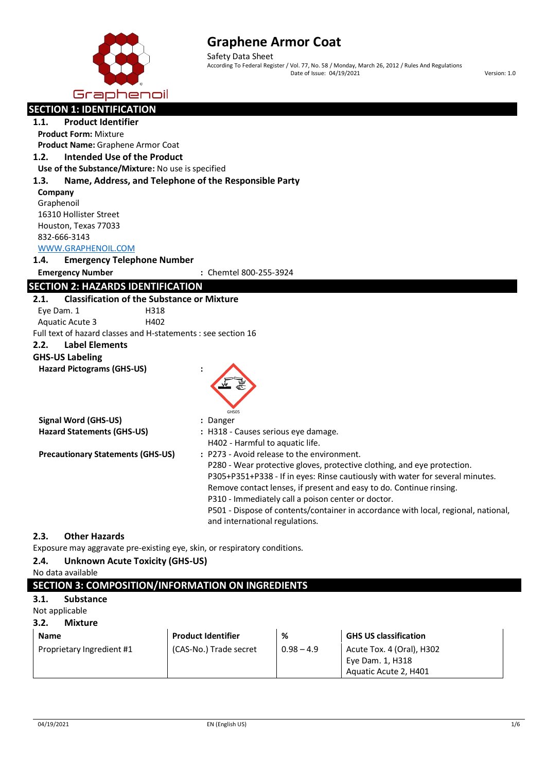

Safety Data Sheet According To Federal Register / Vol. 77, No. 58 / Monday, March 26, 2012 / Rules And Regulations Date of Issue: 04/19/2021 **Version: 1.0** 

| Graphenoil                                                                |                                                                                    |
|---------------------------------------------------------------------------|------------------------------------------------------------------------------------|
| <b>SECTION 1: IDENTIFICATION</b>                                          |                                                                                    |
| <b>Product Identifier</b><br>1.1.                                         |                                                                                    |
| <b>Product Form: Mixture</b>                                              |                                                                                    |
| Product Name: Graphene Armor Coat                                         |                                                                                    |
| <b>Intended Use of the Product</b><br>1.2.                                |                                                                                    |
| Use of the Substance/Mixture: No use is specified                         |                                                                                    |
| Name, Address, and Telephone of the Responsible Party<br>1.3.             |                                                                                    |
| Company                                                                   |                                                                                    |
| Graphenoil                                                                |                                                                                    |
| 16310 Hollister Street                                                    |                                                                                    |
| Houston, Texas 77033                                                      |                                                                                    |
| 832-666-3143                                                              |                                                                                    |
| WWW.GRAPHENOIL.COM                                                        |                                                                                    |
| 1.4.<br><b>Emergency Telephone Number</b>                                 |                                                                                    |
| <b>Emergency Number</b>                                                   | : Chemtel 800-255-3924                                                             |
| <b>SECTION 2: HAZARDS IDENTIFICATION</b>                                  |                                                                                    |
| <b>Classification of the Substance or Mixture</b><br>2.1.                 |                                                                                    |
| Eye Dam. 1<br>H318                                                        |                                                                                    |
| H402<br><b>Aquatic Acute 3</b>                                            |                                                                                    |
| Full text of hazard classes and H-statements : see section 16             |                                                                                    |
| <b>Label Elements</b><br>2.2.                                             |                                                                                    |
| <b>GHS-US Labeling</b>                                                    |                                                                                    |
| <b>Hazard Pictograms (GHS-US)</b>                                         |                                                                                    |
|                                                                           |                                                                                    |
|                                                                           |                                                                                    |
|                                                                           | GHS05                                                                              |
| <b>Signal Word (GHS-US)</b>                                               | : Danger                                                                           |
| <b>Hazard Statements (GHS-US)</b>                                         | : H318 - Causes serious eye damage.                                                |
|                                                                           | H402 - Harmful to aquatic life.                                                    |
| <b>Precautionary Statements (GHS-US)</b>                                  | : P273 - Avoid release to the environment.                                         |
|                                                                           | P280 - Wear protective gloves, protective clothing, and eye protection.            |
|                                                                           | P305+P351+P338 - If in eyes: Rinse cautiously with water for several minutes.      |
|                                                                           | Remove contact lenses, if present and easy to do. Continue rinsing.                |
|                                                                           | P310 - Immediately call a poison center or doctor.                                 |
|                                                                           | P501 - Dispose of contents/container in accordance with local, regional, national, |
|                                                                           | and international regulations.                                                     |
| <b>Other Hazards</b><br>2.3.                                              |                                                                                    |
| Exposure may aggravate pre-existing eye, skin, or respiratory conditions. |                                                                                    |
| <b>Unknown Acute Toxicity (GHS-US)</b><br>2.4.                            |                                                                                    |
| No data available                                                         |                                                                                    |

# **SECTION 3: COMPOSITION/INFORMATION ON INGREDIENTS**

# **3.1. Substance**

# Not applicable

**3.2. Mixture**

| <b>Name</b>               | <b>Product Identifier</b> | %            | <b>GHS US classification</b>                                           |
|---------------------------|---------------------------|--------------|------------------------------------------------------------------------|
| Proprietary Ingredient #1 | (CAS-No.) Trade secret    | $0.98 - 4.9$ | Acute Tox. 4 (Oral), H302<br>Eye Dam. 1, H318<br>Aquatic Acute 2, H401 |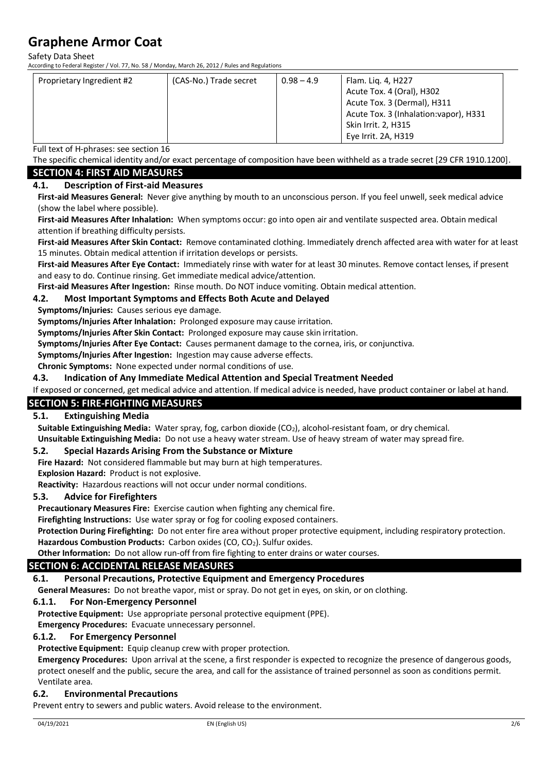Safety Data Sheet

According to Federal Register / Vol. 77, No. 58 / Monday, March 26, 2012 / Rules and Regulations

| Proprietary Ingredient #2 | (CAS-No.) Trade secret | $0.98 - 4.9$ | Flam. Lig. 4, H227                     |
|---------------------------|------------------------|--------------|----------------------------------------|
|                           |                        |              | Acute Tox. 4 (Oral), H302              |
|                           |                        |              | Acute Tox. 3 (Dermal), H311            |
|                           |                        |              | Acute Tox. 3 (Inhalation: vapor), H331 |
|                           |                        |              | <b>Skin Irrit. 2, H315</b>             |
|                           |                        |              | Eye Irrit. 2A, H319                    |

Full text of H-phrases: see section 16

The specific chemical identity and/or exact percentage of composition have been withheld as a trade secret [29 CFR 1910.1200]. **SECTION 4: FIRST AID MEASURES**

**4.1. Description of First-aid Measures**

**First-aid Measures General:** Never give anything by mouth to an unconscious person. If you feel unwell, seek medical advice (show the label where possible).

**First-aid Measures After Inhalation:** When symptoms occur: go into open air and ventilate suspected area. Obtain medical attention if breathing difficulty persists.

**First-aid Measures After Skin Contact:** Remove contaminated clothing. Immediately drench affected area with water for at least 15 minutes. Obtain medical attention if irritation develops or persists.

**First-aid Measures After Eye Contact:** Immediately rinse with water for at least 30 minutes. Remove contact lenses, if present and easy to do. Continue rinsing. Get immediate medical advice/attention.

**First-aid Measures After Ingestion:** Rinse mouth. Do NOT induce vomiting. Obtain medical attention.

#### **4.2. Most Important Symptoms and Effects Both Acute and Delayed**

**Symptoms/Injuries:** Causes serious eye damage.

**Symptoms/Injuries After Inhalation:** Prolonged exposure may cause irritation.

**Symptoms/Injuries After Skin Contact:** Prolonged exposure may cause skin irritation.

**Symptoms/Injuries After Eye Contact:** Causes permanent damage to the cornea, iris, or conjunctiva.

**Symptoms/Injuries After Ingestion:** Ingestion may cause adverse effects.

**Chronic Symptoms:** None expected under normal conditions of use.

#### **4.3. Indication of Any Immediate Medical Attention and Special Treatment Needed**

If exposed or concerned, get medical advice and attention. If medical advice is needed, have product container or label at hand.

#### **SECTION 5: FIRE-FIGHTING MEASURES**

#### **5.1. Extinguishing Media**

Suitable Extinguishing Media: Water spray, fog, carbon dioxide (CO<sub>2</sub>), alcohol-resistant foam, or dry chemical.

**Unsuitable Extinguishing Media:** Do not use a heavy water stream. Use of heavy stream of water may spread fire.

### **5.2. Special Hazards Arising From the Substance or Mixture**

**Fire Hazard:** Not considered flammable but may burn at high temperatures. **Explosion Hazard:** Product is not explosive.

**Reactivity:** Hazardous reactions will not occur under normal conditions.

#### **5.3. Advice for Firefighters**

**Precautionary Measures Fire:** Exercise caution when fighting any chemical fire.

**Firefighting Instructions:** Use water spray or fog for cooling exposed containers.

**Protection During Firefighting:** Do not enter fire area without proper protective equipment, including respiratory protection. Hazardous Combustion Products: Carbon oxides (CO, CO<sub>2</sub>). Sulfur oxides.

**Other Information:** Do not allow run-off from fire fighting to enter drains or water courses.

# **SECTION 6: ACCIDENTAL RELEASE MEASURES**

## **6.1. Personal Precautions, Protective Equipment and Emergency Procedures**

**General Measures:** Do not breathe vapor, mist or spray. Do not get in eyes, on skin, or on clothing.

## **6.1.1. For Non-Emergency Personnel**

**Protective Equipment:** Use appropriate personal protective equipment (PPE).

**Emergency Procedures:** Evacuate unnecessary personnel.

### **6.1.2. For Emergency Personnel**

**Protective Equipment:** Equip cleanup crew with proper protection.

**Emergency Procedures:** Upon arrival at the scene, a first responder is expected to recognize the presence of dangerous goods, protect oneself and the public, secure the area, and call for the assistance of trained personnel as soon as conditions permit. Ventilate area.

## **6.2. Environmental Precautions**

Prevent entry to sewers and public waters. Avoid release to the environment.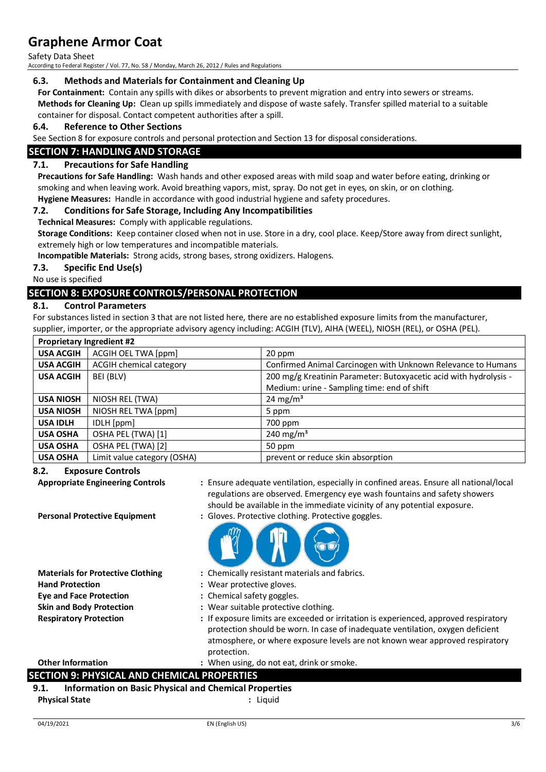Safety Data Sheet

According to Federal Register / Vol. 77, No. 58 / Monday, March 26, 2012 / Rules and Regulations

#### **6.3. Methods and Materials for Containment and Cleaning Up**

**For Containment:** Contain any spills with dikes or absorbents to prevent migration and entry into sewers or streams. **Methods for Cleaning Up:** Clean up spills immediately and dispose of waste safely. Transfer spilled material to a suitable container for disposal. Contact competent authorities after a spill.

#### **6.4. Reference to Other Sections**

See Section 8 for exposure controls and personal protection and Section 13 for disposal considerations.

#### **SECTION 7: HANDLING AND STORAGE**

#### **7.1. Precautions for Safe Handling**

**Precautions for Safe Handling:** Wash hands and other exposed areas with mild soap and water before eating, drinking or smoking and when leaving work. Avoid breathing vapors, mist, spray. Do not get in eves, on skin, or on clothing.

**Hygiene Measures:** Handle in accordance with good industrial hygiene and safety procedures.

#### **7.2. Conditions for Safe Storage, Including Any Incompatibilities**

**Technical Measures:** Comply with applicable regulations.

**Storage Conditions:** Keep container closed when not in use. Store in a dry, cool place. Keep/Store away from direct sunlight, extremely high or low temperatures and incompatible materials.

**Incompatible Materials:** Strong acids, strong bases, strong oxidizers. Halogens.

#### **7.3. Specific End Use(s)**

No use is specified

### **SECTION 8: EXPOSURE CONTROLS/PERSONAL PROTECTION**

#### **8.1. Control Parameters**

For substances listed in section 3 that are not listed here, there are no established exposure limits from the manufacturer, supplier, importer, or the appropriate advisory agency including: ACGIH (TLV), AIHA (WEEL), NIOSH (REL), or OSHA (PEL).

| <b>Proprietary Ingredient #2</b> |                                |                                                                   |
|----------------------------------|--------------------------------|-------------------------------------------------------------------|
| <b>USA ACGIH</b>                 | ACGIH OEL TWA [ppm]            | 20 ppm                                                            |
| <b>USA ACGIH</b>                 | <b>ACGIH chemical category</b> | Confirmed Animal Carcinogen with Unknown Relevance to Humans      |
| <b>USA ACGIH</b>                 | BEI (BLV)                      | 200 mg/g Kreatinin Parameter: Butoxyacetic acid with hydrolysis - |
|                                  |                                | Medium: urine - Sampling time: end of shift                       |
| <b>USA NIOSH</b>                 | NIOSH REL (TWA)                | 24 mg/m <sup>3</sup>                                              |
| <b>USA NIOSH</b>                 | NIOSH REL TWA [ppm]            | 5 ppm                                                             |
| <b>USA IDLH</b>                  | IDLH [ppm]                     | 700 ppm                                                           |
| <b>USA OSHA</b>                  | OSHA PEL (TWA) [1]             | 240 mg/m <sup>3</sup>                                             |
| <b>USA OSHA</b>                  | OSHA PEL (TWA) [2]             | 50 ppm                                                            |
| <b>USA OSHA</b>                  | Limit value category (OSHA)    | prevent or reduce skin absorption                                 |

#### **8.2. Exposure Controls**

**Personal Protective Equipment :** Gloves. Protective clothing. Protective goggles.

- **Appropriate Engineering Controls :** Ensure adequate ventilation, especially in confined areas. Ensure all national/local regulations are observed. Emergency eye wash fountains and safety showers should be available in the immediate vicinity of any potential exposure.
	-
- **Hand Protection :** Wear protective gloves. **Eye and Face Protection :** Chemical safety goggles.
- **Materials for Protective Clothing :** Chemically resistant materials and fabrics.
	-
	-
- **Skin and Body Protection :** Wear suitable protective clothing.
- **Respiratory Protection :** If exposure limits are exceeded or irritation is experienced, approved respiratory protection should be worn. In case of inadequate ventilation, oxygen deficient atmosphere, or where exposure levels are not known wear approved respiratory protection.

**Other Information :** When using, do not eat, drink or smoke.

### **SECTION 9: PHYSICAL AND CHEMICAL PROPERTIES**

**9.1. Information on Basic Physical and Chemical Properties Physical State :** Liquid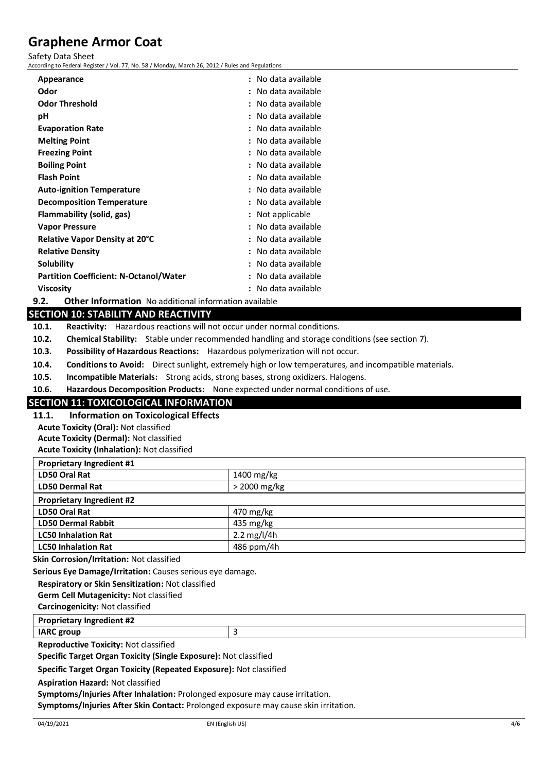#### Safety Data Sheet

According to Federal Register / Vol. 77, No. 58 / Monday, March 26, 2012 / Rules and Regulations

| Appearance                                    | : No data available |
|-----------------------------------------------|---------------------|
| Odor                                          | : No data available |
| <b>Odor Threshold</b>                         | : No data available |
| рH                                            | : No data available |
| <b>Evaporation Rate</b>                       | : No data available |
| <b>Melting Point</b>                          | : No data available |
| <b>Freezing Point</b>                         | : No data available |
| <b>Boiling Point</b>                          | : No data available |
| <b>Flash Point</b>                            | : No data available |
| <b>Auto-ignition Temperature</b>              | : No data available |
| <b>Decomposition Temperature</b>              | : No data available |
| Flammability (solid, gas)                     | : Not applicable    |
| <b>Vapor Pressure</b>                         | : No data available |
| <b>Relative Vapor Density at 20°C</b>         | : No data available |
| <b>Relative Density</b>                       | : No data available |
| Solubility                                    | : No data available |
| <b>Partition Coefficient: N-Octanol/Water</b> | : No data available |
| <b>Viscosity</b>                              | : No data available |
|                                               |                     |

**9.2. Other Information** No additional information available

### **SECTION 10: STABILITY AND REACTIVITY**

**10.1. Reactivity:** Hazardous reactions will not occur under normal conditions.

**10.2. Chemical Stability:** Stable under recommended handling and storage conditions (see section 7).

**10.3. Possibility of Hazardous Reactions:** Hazardous polymerization will not occur.

**10.4. Conditions to Avoid:** Direct sunlight, extremely high or low temperatures, and incompatible materials.

**10.5. Incompatible Materials:** Strong acids, strong bases, strong oxidizers. Halogens.

**10.6. Hazardous Decomposition Products:** None expected under normal conditions of use.

### **SECTION 11: TOXICOLOGICAL INFORMATION**

**11.1. Information on Toxicological Effects**

**Acute Toxicity (Oral):** Not classified **Acute Toxicity (Dermal):** Not classified

**Acute Toxicity (Inhalation):** Not classified

| <b>Proprietary Ingredient #1</b> |                       |
|----------------------------------|-----------------------|
| LD50 Oral Rat                    | 1400 mg/kg            |
| <b>LD50 Dermal Rat</b>           | $>$ 2000 mg/kg        |
| <b>Proprietary Ingredient #2</b> |                       |
| LD50 Oral Rat                    | 470 mg/kg             |
| <b>LD50 Dermal Rabbit</b>        | 435 mg/kg             |
| <b>LC50 Inhalation Rat</b>       | $2.2 \text{ mg/l/4h}$ |
| <b>LC50 Inhalation Rat</b>       | 486 ppm/4h            |

**Skin Corrosion/Irritation:** Not classified

**Serious Eye Damage/Irritation:** Causes serious eye damage.

**Respiratory or Skin Sensitization:** Not classified

**Germ Cell Mutagenicity:** Not classified

**Carcinogenicity:** Not classified

**Proprietary Ingredient #2**

**IARC group** 3

**Reproductive Toxicity:** Not classified

**Specific Target Organ Toxicity (Single Exposure):** Not classified

**Specific Target Organ Toxicity (Repeated Exposure):** Not classified

**Aspiration Hazard:** Not classified

**Symptoms/Injuries After Inhalation:** Prolonged exposure may cause irritation.

**Symptoms/Injuries After Skin Contact:** Prolonged exposure may cause skin irritation.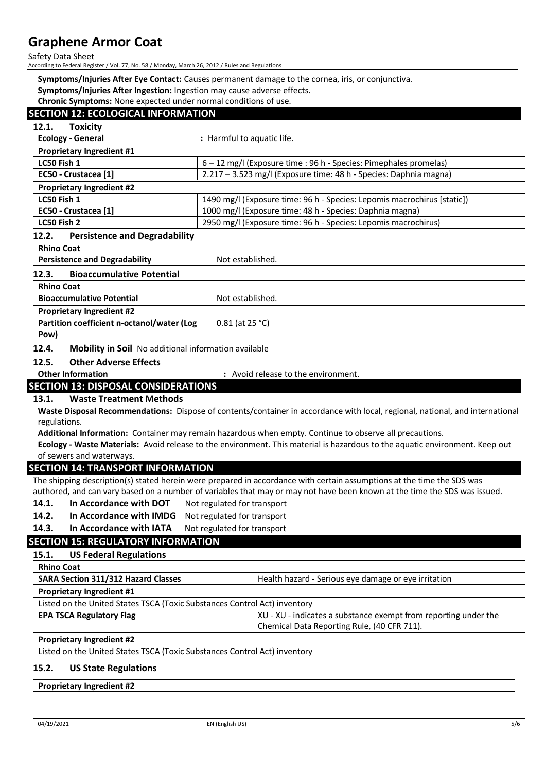Safety Data Sheet

According to Federal Register / Vol. 77, No. 58 / Monday, March 26, 2012 / Rules and Regulations

**Symptoms/Injuries After Eye Contact:** Causes permanent damage to the cornea, iris, or conjunctiva.

**Symptoms/Injuries After Ingestion:** Ingestion may cause adverse effects.

**Chronic Symptoms:** None expected under normal conditions of use.

## **SECTION 12: ECOLOGICAL INFORMATION 12.1. Toxicity Ecology - General :** Harmful to aquatic life. **Proprietary Ingredient #1 LC50 Fish 1 6 – 12 mg/l (Exposure time : 96 h - Species: Pimephales promelas) EC50 - Crustacea [1]** 2.217 – 3.523 mg/l (Exposure time: 48 h - Species: Daphnia magna) **Proprietary Ingredient #2 LC50 Fish 1** 1490 mg/l (Exposure time: 96 h - Species: Lepomis macrochirus [static]) **EC50 - Crustacea [1]** 1000 mg/l (Exposure time: 48 h - Species: Daphnia magna) **LC50 Fish 2** 2950 mg/l (Exposure time: 96 h - Species: Lepomis macrochirus) **12.2. Persistence and Degradability Rhino Coat Persistence and Degradability Not established.** Not established. **12.3. Bioaccumulative Potential Rhino Coat Bioaccumulative Potential** Not established. **Proprietary Ingredient #2 Partition coefficient n-octanol/water (Log Pow)** 0.81 (at 25 °C) **12.4. Mobility in Soil** No additional information available **12.5. Other Adverse Effects Other Information :** Avoid release to the environment. **SECTION 13: DISPOSAL CONSIDERATIONS 13.1. Waste Treatment Methods Waste Disposal Recommendations:** Dispose of contents/container in accordance with local, regional, national, and international regulations. **Additional Information:** Container may remain hazardous when empty. Continue to observe all precautions. **Ecology - Waste Materials:** Avoid release to the environment. This material is hazardous to the aquatic environment. Keep out of sewers and waterways. **SECTION 14: TRANSPORT INFORMATION** The shipping description(s) stated herein were prepared in accordance with certain assumptions at the time the SDS was authored, and can vary based on a number of variables that may or may not have been known at the time the SDS was issued. **14.1.** In Accordance with DOT Not regulated for transport **14.2. In Accordance with IMDG** Not regulated for transport 14.3. In Accordance with IATA Not regulated for transport **SECTION 15: REGULATORY INFORMATION 15.1. US Federal Regulations Rhino Coat SARA Section 311/312 Hazard Classes** Health hazard - Serious eye damage or eye irritation **Proprietary Ingredient #1** Listed on the United States TSCA (Toxic Substances Control Act) inventory

**EPA TSCA Regulatory Flag EPA TSCA Regulatory Flag XU** - XU - XU - indicates a substance exempt from reporting under the

Chemical Data Reporting Rule, (40 CFR 711).

Listed on the United States TSCA (Toxic Substances Control Act) inventory

#### **15.2. US State Regulations**

#### **Proprietary Ingredient #2**